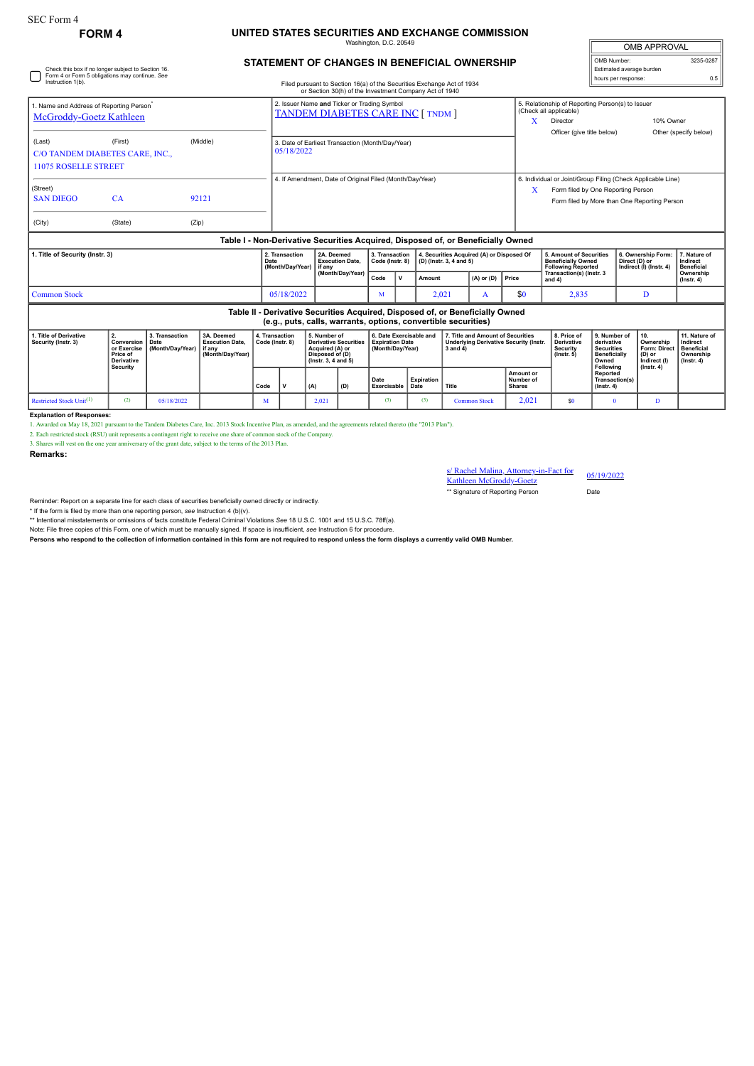Check this box if no longer subject to Section 16. Form 4 or Form 5 obligations may continue. *See*

## **FORM 4 UNITED STATES SECURITIES AND EXCHANGE COMMISSION** ington, D.C. 20

| <b>OMB APPROVAL</b>      |           |  |  |  |  |  |  |
|--------------------------|-----------|--|--|--|--|--|--|
| OMB Number:              | 3235-0287 |  |  |  |  |  |  |
| Estimated average burden |           |  |  |  |  |  |  |
| hours per response:      | 0.5       |  |  |  |  |  |  |

## **STATEMENT OF CHANGES IN BENEFICIAL OWNERSHIP**

| Instruction 1(b).                                                                                                                               |                                                                                     |                                            |                                                                    |                                   |                                                                                         |                                                                                                              | Filed pursuant to Section 16(a) of the Securities Exchange Act of 1934<br>or Section 30(h) of the Investment Company Act of 1940 |                                                                       |                                           |        |                                                                                                     |                                         |                            |                                                                                                               | noura par reaponad.                                                                          |                                                                                                             |                                                                                 |
|-------------------------------------------------------------------------------------------------------------------------------------------------|-------------------------------------------------------------------------------------|--------------------------------------------|--------------------------------------------------------------------|-----------------------------------|-----------------------------------------------------------------------------------------|--------------------------------------------------------------------------------------------------------------|----------------------------------------------------------------------------------------------------------------------------------|-----------------------------------------------------------------------|-------------------------------------------|--------|-----------------------------------------------------------------------------------------------------|-----------------------------------------|----------------------------|---------------------------------------------------------------------------------------------------------------|----------------------------------------------------------------------------------------------|-------------------------------------------------------------------------------------------------------------|---------------------------------------------------------------------------------|
| 1. Name and Address of Reporting Person <sup>®</sup><br><b>McGroddy-Goetz Kathleen</b>                                                          |                                                                                     |                                            |                                                                    |                                   | 2. Issuer Name and Ticker or Trading Symbol<br><b>TANDEM DIABETES CARE INC [ TNDM ]</b> |                                                                                                              |                                                                                                                                  |                                                                       |                                           |        |                                                                                                     |                                         | X                          | 5. Relationship of Reporting Person(s) to Issuer<br>(Check all applicable)<br>10% Owner<br>Director           |                                                                                              |                                                                                                             |                                                                                 |
| (Last)<br>C/O TANDEM DIABETES CARE, INC.,<br><b>11075 ROSELLE STREET</b>                                                                        | (First)                                                                             |                                            | (Middle)                                                           |                                   | 3. Date of Earliest Transaction (Month/Day/Year)<br>05/18/2022                          |                                                                                                              |                                                                                                                                  |                                                                       |                                           |        |                                                                                                     |                                         | Officer (give title below) |                                                                                                               |                                                                                              | Other (specify below)                                                                                       |                                                                                 |
| (Street)<br><b>SAN DIEGO</b><br>(City)                                                                                                          | CA<br>(State)                                                                       | (Zip)                                      | 92121                                                              |                                   |                                                                                         |                                                                                                              | 4. If Amendment, Date of Original Filed (Month/Day/Year)                                                                         |                                                                       |                                           |        |                                                                                                     |                                         | X                          | Form filed by One Reporting Person                                                                            |                                                                                              | 6. Individual or Joint/Group Filing (Check Applicable Line)<br>Form filed by More than One Reporting Person |                                                                                 |
| Table I - Non-Derivative Securities Acquired, Disposed of, or Beneficially Owned                                                                |                                                                                     |                                            |                                                                    |                                   |                                                                                         |                                                                                                              |                                                                                                                                  |                                                                       |                                           |        |                                                                                                     |                                         |                            |                                                                                                               |                                                                                              |                                                                                                             |                                                                                 |
| 1. Title of Security (Instr. 3)                                                                                                                 |                                                                                     |                                            |                                                                    | Date                              | 2. Transaction<br>(Month/Day/Year)                                                      | if any                                                                                                       | 2A. Deemed<br><b>Execution Date.</b><br>(Month/Day/Year)                                                                         |                                                                       | 3. Transaction<br>Code (Instr. 8)<br>Code |        | 4. Securities Acquired (A) or Disposed Of<br>(D) (Instr. 3, 4 and 5)                                |                                         |                            | 5. Amount of Securities<br><b>Beneficially Owned</b><br><b>Following Reported</b><br>Transaction(s) (Instr. 3 |                                                                                              | 6. Ownership Form:<br>Direct (D) or<br>Indirect (I) (Instr. 4)                                              | 7. Nature of<br>Indirect<br><b>Beneficial</b><br>Ownership                      |
|                                                                                                                                                 |                                                                                     |                                            |                                                                    |                                   |                                                                                         |                                                                                                              |                                                                                                                                  |                                                                       | $\mathbf v$                               | Amount |                                                                                                     | $(A)$ or $(D)$                          | Price                      | and 4)                                                                                                        |                                                                                              |                                                                                                             | $($ lnstr. 4 $)$                                                                |
| <b>Common Stock</b>                                                                                                                             |                                                                                     |                                            |                                                                    |                                   | 05/18/2022                                                                              |                                                                                                              | м                                                                                                                                |                                                                       |                                           | 2,021  | A                                                                                                   | \$0                                     | 2,835                      |                                                                                                               | D                                                                                            |                                                                                                             |                                                                                 |
| Table II - Derivative Securities Acquired, Disposed of, or Beneficially Owned<br>(e.g., puts, calls, warrants, options, convertible securities) |                                                                                     |                                            |                                                                    |                                   |                                                                                         |                                                                                                              |                                                                                                                                  |                                                                       |                                           |        |                                                                                                     |                                         |                            |                                                                                                               |                                                                                              |                                                                                                             |                                                                                 |
| 1. Title of Derivative<br>Security (Instr. 3)                                                                                                   | 2.<br>Conversion<br>or Exercise<br>Price of<br><b>Derivative</b><br><b>Security</b> | 3. Transaction<br>Date<br>(Month/Day/Year) | 3A. Deemed<br><b>Execution Date.</b><br>if anv<br>(Month/Day/Year) | 4. Transaction<br>Code (Instr. 8) |                                                                                         | 5. Number of<br><b>Derivative Securities</b><br>Acquired (A) or<br>Disposed of (D)<br>$($ lnstr. 3, 4 and 5) |                                                                                                                                  | 6. Date Exercisable and<br><b>Expiration Date</b><br>(Month/Day/Year) |                                           |        | 7. Title and Amount of Securities<br><b>Underlying Derivative Security (Instr.</b><br>$3$ and $4$ ) |                                         |                            | 8. Price of<br><b>Derivative</b><br>Security<br>$($ lnstr. 5 $)$                                              | 9. Number of<br>derivative<br><b>Securities</b><br><b>Beneficially</b><br>Owned<br>Following | 10.<br>Ownership<br><b>Form: Direct</b><br>(D) or<br>Indirect (I)<br>$($ lnstr, 4 $)$                       | 11. Nature of<br>Indirect<br><b>Beneficial</b><br>Ownership<br>$($ Instr. 4 $)$ |
|                                                                                                                                                 |                                                                                     |                                            |                                                                    | Code                              | (D)<br>(A)                                                                              |                                                                                                              | Date<br>Exercisable                                                                                                              |                                                                       | Expiration<br>Date                        | Title  |                                                                                                     | Amount or<br>Number of<br><b>Shares</b> |                            | Reported<br>Transaction(s)<br>$($ Instr. 4 $)$                                                                |                                                                                              |                                                                                                             |                                                                                 |
| Restricted Stock Unit <sup>(1)</sup>                                                                                                            | (2)                                                                                 | 05/18/2022                                 |                                                                    | M                                 |                                                                                         | 2.021                                                                                                        |                                                                                                                                  | (3)                                                                   |                                           | (3)    |                                                                                                     | <b>Common Stock</b>                     | 2,021                      | \$0                                                                                                           | $\mathbf{0}$                                                                                 | D.                                                                                                          |                                                                                 |

## **Explanation of Responses:**

1. Awarded on May 18, 2021 pursuant to the Tandem Diabetes Care, Inc. 2013 Stock Incentive Plan, as amended, and the agreements related thereto (the "2013 Plan").

2. Each restricted stock (RSU) unit represents a contingent right to receive one share of common stock of the Company.

3. Shares will vest on the one year anniversary of the grant date, subject to the terms of the 2013 Plan.

**Remarks:**

s/ Rachel Malina, Attorney-in-Fact for 05/19/2022<br>Kathleen McGroddy-Goetz

\*\* Signature of Reporting Person Date

Reminder: Report on a separate line for each class of securities beneficially owned directly or indirectly.

\* If the form is filed by more than one reporting person, *see* Instruction 4 (b)(v).

\*\* Intentional misstatements or omissions of facts constitute Federal Criminal Violations *See* 18 U.S.C. 1001 and 15 U.S.C. 78ff(a).

Note: File three copies of this Form, one of which must be manually signed. If space is insufficient, *see* Instruction 6 for procedure.

**Persons who respond to the collection of information contained in this form are not required to respond unless the form displays a currently valid OMB Number.**